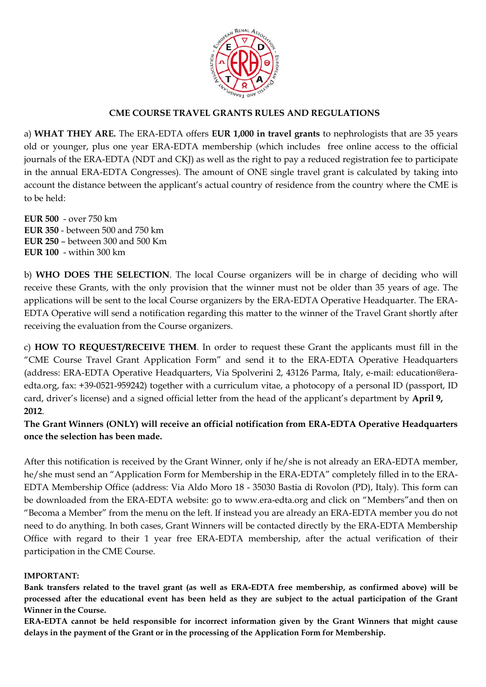

### **CME COURSE TRAVEL GRANTS RULES AND REGULATIONS**

a) **WHAT THEY ARE.** The ERA-EDTA offers **EUR 1,000 in travel grants** to nephrologists that are 35 years old or younger, plus one year ERA-EDTA membership (which includes free online access to the official journals of the ERA-EDTA (NDT and CKJ) as well as the right to pay a reduced registration fee to participate in the annual ERA-EDTA Congresses). The amount of ONE single travel grant is calculated by taking into account the distance between the applicant's actual country of residence from the country where the CME is to be held:

**EUR 500** - over 750 km **EUR 350** - between 500 and 750 km **EUR 250** – between 300 and 500 Km **EUR 100** - within 300 km

b) **WHO DOES THE SELECTION**. The local Course organizers will be in charge of deciding who will receive these Grants, with the only provision that the winner must not be older than 35 years of age. The applications will be sent to the local Course organizers by the ERA-EDTA Operative Headquarter. The ERA-EDTA Operative will send a notification regarding this matter to the winner of the Travel Grant shortly after receiving the evaluation from the Course organizers.

c) **HOW TO REQUEST/RECEIVE THEM**. In order to request these Grant the applicants must fill in the "CME Course Travel Grant Application Form" and send it to the ERA-EDTA Operative Headquarters (address: ERA-EDTA Operative Headquarters, Via Spolverini 2, 43126 Parma, Italy, e-mail: education@eraedta.org, fax: +39-0521-959242) together with a curriculum vitae, a photocopy of a personal ID (passport, ID card, driver's license) and a signed official letter from the head of the applicant's department by **April 9, 2012**.

**The Grant Winners (ONLY) will receive an official notification from ERA-EDTA Operative Headquarters once the selection has been made.** 

After this notification is received by the Grant Winner, only if he/she is not already an ERA-EDTA member, he/she must send an "Application Form for Membership in the ERA-EDTA" completely filled in to the ERA-EDTA Membership Office (address: Via Aldo Moro 18 - 35030 Bastia di Rovolon (PD), Italy). This form can be downloaded from the ERA-EDTA website: go to www.era-edta.org and click on "Members"and then on "Becoma a Member" from the menu on the left. If instead you are already an ERA-EDTA member you do not need to do anything. In both cases, Grant Winners will be contacted directly by the ERA-EDTA Membership Office with regard to their 1 year free ERA-EDTA membership, after the actual verification of their participation in the CME Course.

#### **IMPORTANT:**

**Bank transfers related to the travel grant (as well as ERA-EDTA free membership, as confirmed above) will be processed after the educational event has been held as they are subject to the actual participation of the Grant Winner in the Course.** 

**ERA-EDTA cannot be held responsible for incorrect information given by the Grant Winners that might cause delays in the payment of the Grant or in the processing of the Application Form for Membership.**